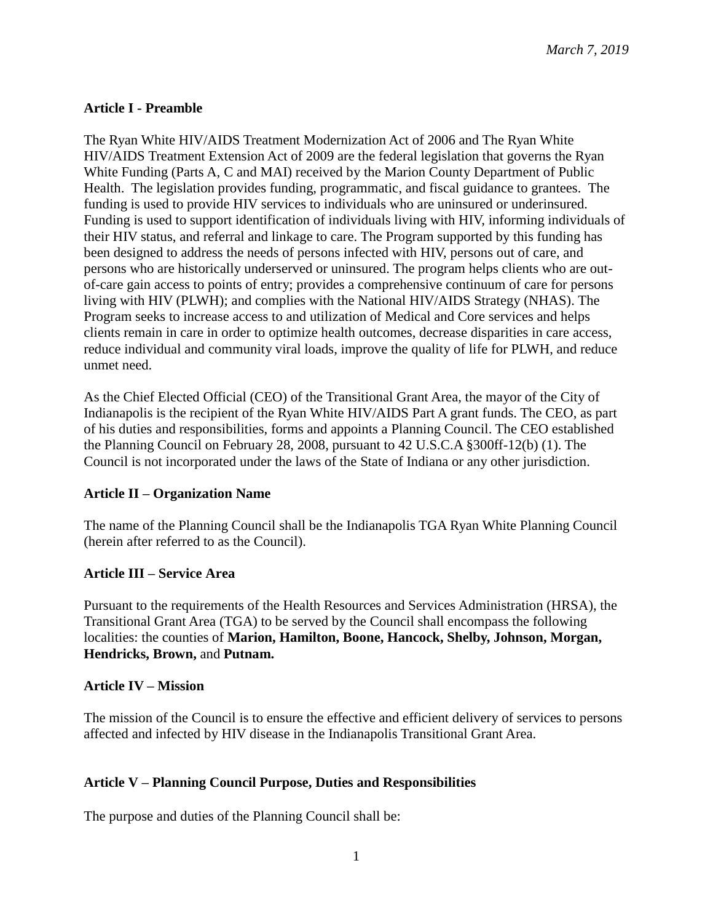## **Article I - Preamble**

The Ryan White HIV/AIDS Treatment Modernization Act of 2006 and The Ryan White HIV/AIDS Treatment Extension Act of 2009 are the federal legislation that governs the Ryan White Funding (Parts A, C and MAI) received by the Marion County Department of Public Health. The legislation provides funding, programmatic, and fiscal guidance to grantees. The funding is used to provide HIV services to individuals who are uninsured or underinsured. Funding is used to support identification of individuals living with HIV, informing individuals of their HIV status, and referral and linkage to care. The Program supported by this funding has been designed to address the needs of persons infected with HIV, persons out of care, and persons who are historically underserved or uninsured. The program helps clients who are outof-care gain access to points of entry; provides a comprehensive continuum of care for persons living with HIV (PLWH); and complies with the National HIV/AIDS Strategy (NHAS). The Program seeks to increase access to and utilization of Medical and Core services and helps clients remain in care in order to optimize health outcomes, decrease disparities in care access, reduce individual and community viral loads, improve the quality of life for PLWH, and reduce unmet need.

As the Chief Elected Official (CEO) of the Transitional Grant Area, the mayor of the City of Indianapolis is the recipient of the Ryan White HIV/AIDS Part A grant funds. The CEO, as part of his duties and responsibilities, forms and appoints a Planning Council. The CEO established the Planning Council on February 28, 2008, pursuant to 42 U.S.C.A §300ff-12(b) (1). The Council is not incorporated under the laws of the State of Indiana or any other jurisdiction.

### **Article II – Organization Name**

The name of the Planning Council shall be the Indianapolis TGA Ryan White Planning Council (herein after referred to as the Council).

### **Article III – Service Area**

Pursuant to the requirements of the Health Resources and Services Administration (HRSA), the Transitional Grant Area (TGA) to be served by the Council shall encompass the following localities: the counties of **Marion, Hamilton, Boone, Hancock, Shelby, Johnson, Morgan, Hendricks, Brown,** and **Putnam.**

#### **Article IV – Mission**

The mission of the Council is to ensure the effective and efficient delivery of services to persons affected and infected by HIV disease in the Indianapolis Transitional Grant Area.

### **Article V – Planning Council Purpose, Duties and Responsibilities**

The purpose and duties of the Planning Council shall be: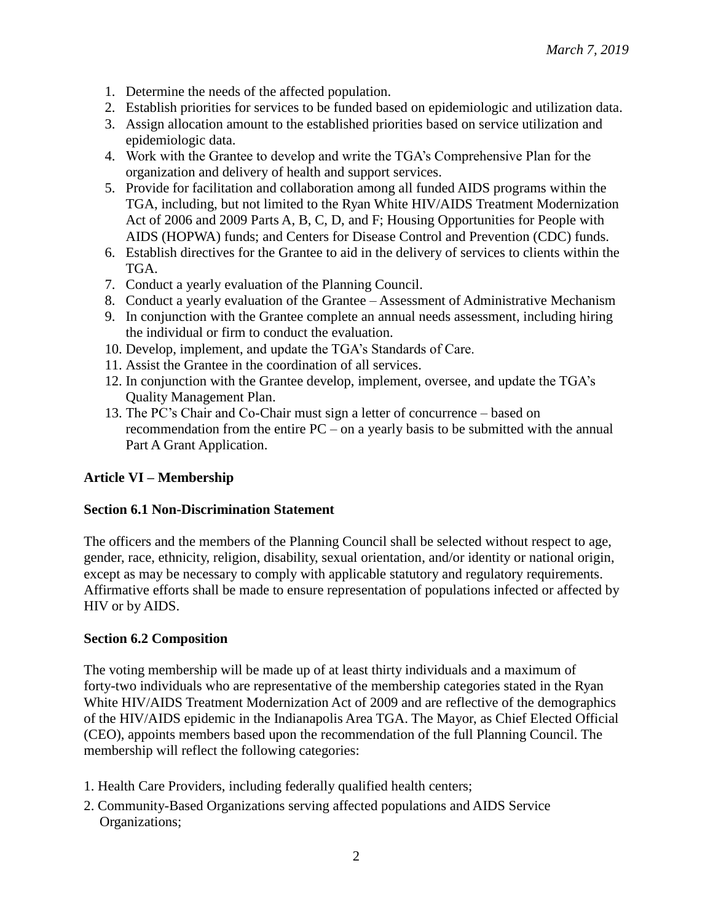- 1. Determine the needs of the affected population.
- 2. Establish priorities for services to be funded based on epidemiologic and utilization data.
- 3. Assign allocation amount to the established priorities based on service utilization and epidemiologic data.
- 4. Work with the Grantee to develop and write the TGA's Comprehensive Plan for the organization and delivery of health and support services.
- 5. Provide for facilitation and collaboration among all funded AIDS programs within the TGA, including, but not limited to the Ryan White HIV/AIDS Treatment Modernization Act of 2006 and 2009 Parts A, B, C, D, and F; Housing Opportunities for People with AIDS (HOPWA) funds; and Centers for Disease Control and Prevention (CDC) funds.
- 6. Establish directives for the Grantee to aid in the delivery of services to clients within the TGA.
- 7. Conduct a yearly evaluation of the Planning Council.
- 8. Conduct a yearly evaluation of the Grantee Assessment of Administrative Mechanism
- 9. In conjunction with the Grantee complete an annual needs assessment, including hiring the individual or firm to conduct the evaluation.
- 10. Develop, implement, and update the TGA's Standards of Care.
- 11. Assist the Grantee in the coordination of all services.
- 12. In conjunction with the Grantee develop, implement, oversee, and update the TGA's Quality Management Plan.
- 13. The PC's Chair and Co-Chair must sign a letter of concurrence based on recommendation from the entire PC – on a yearly basis to be submitted with the annual Part A Grant Application.

### **Article VI – Membership**

#### **Section 6.1 Non-Discrimination Statement**

The officers and the members of the Planning Council shall be selected without respect to age, gender, race, ethnicity, religion, disability, sexual orientation, and/or identity or national origin, except as may be necessary to comply with applicable statutory and regulatory requirements. Affirmative efforts shall be made to ensure representation of populations infected or affected by HIV or by AIDS.

#### **Section 6.2 Composition**

The voting membership will be made up of at least thirty individuals and a maximum of forty-two individuals who are representative of the membership categories stated in the Ryan White HIV/AIDS Treatment Modernization Act of 2009 and are reflective of the demographics of the HIV/AIDS epidemic in the Indianapolis Area TGA. The Mayor, as Chief Elected Official (CEO), appoints members based upon the recommendation of the full Planning Council. The membership will reflect the following categories:

- 1. Health Care Providers, including federally qualified health centers;
- 2. Community-Based Organizations serving affected populations and AIDS Service Organizations;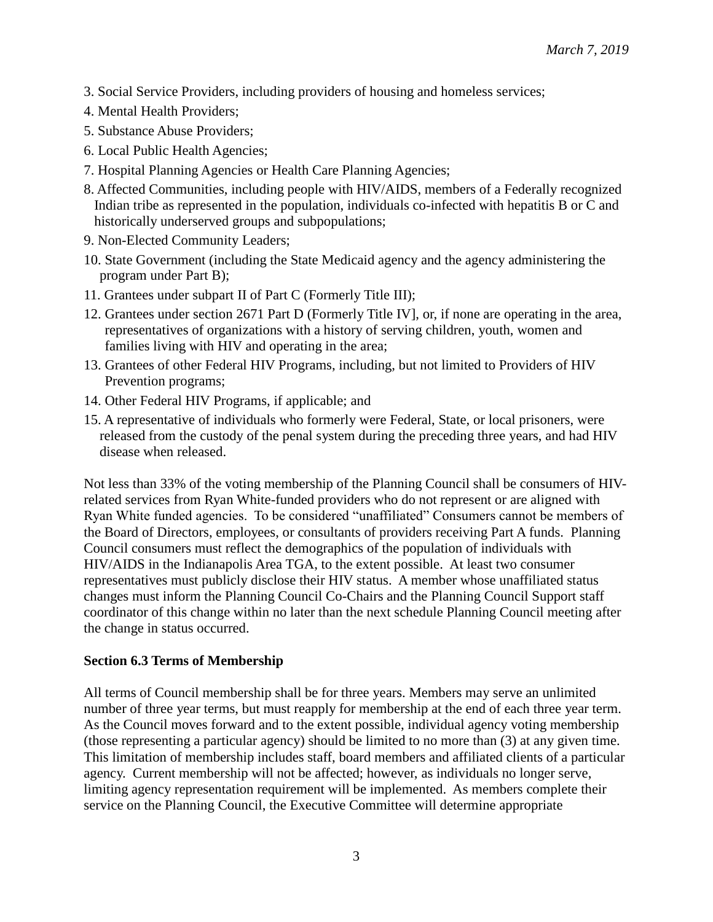- 3. Social Service Providers, including providers of housing and homeless services;
- 4. Mental Health Providers;
- 5. Substance Abuse Providers;
- 6. Local Public Health Agencies;
- 7. Hospital Planning Agencies or Health Care Planning Agencies;
- 8. Affected Communities, including people with HIV/AIDS, members of a Federally recognized Indian tribe as represented in the population, individuals co-infected with hepatitis B or C and historically underserved groups and subpopulations;
- 9. Non-Elected Community Leaders;
- 10. State Government (including the State Medicaid agency and the agency administering the program under Part B);
- 11. Grantees under subpart II of Part C (Formerly Title III);
- 12. Grantees under section 2671 Part D (Formerly Title IV], or, if none are operating in the area, representatives of organizations with a history of serving children, youth, women and families living with HIV and operating in the area;
- 13. Grantees of other Federal HIV Programs, including, but not limited to Providers of HIV Prevention programs;
- 14. Other Federal HIV Programs, if applicable; and
- 15. A representative of individuals who formerly were Federal, State, or local prisoners, were released from the custody of the penal system during the preceding three years, and had HIV disease when released.

Not less than 33% of the voting membership of the Planning Council shall be consumers of HIVrelated services from Ryan White-funded providers who do not represent or are aligned with Ryan White funded agencies. To be considered "unaffiliated" Consumers cannot be members of the Board of Directors, employees, or consultants of providers receiving Part A funds. Planning Council consumers must reflect the demographics of the population of individuals with HIV/AIDS in the Indianapolis Area TGA, to the extent possible. At least two consumer representatives must publicly disclose their HIV status. A member whose unaffiliated status changes must inform the Planning Council Co-Chairs and the Planning Council Support staff coordinator of this change within no later than the next schedule Planning Council meeting after the change in status occurred.

#### **Section 6.3 Terms of Membership**

All terms of Council membership shall be for three years. Members may serve an unlimited number of three year terms, but must reapply for membership at the end of each three year term. As the Council moves forward and to the extent possible, individual agency voting membership (those representing a particular agency) should be limited to no more than (3) at any given time. This limitation of membership includes staff, board members and affiliated clients of a particular agency. Current membership will not be affected; however, as individuals no longer serve, limiting agency representation requirement will be implemented. As members complete their service on the Planning Council, the Executive Committee will determine appropriate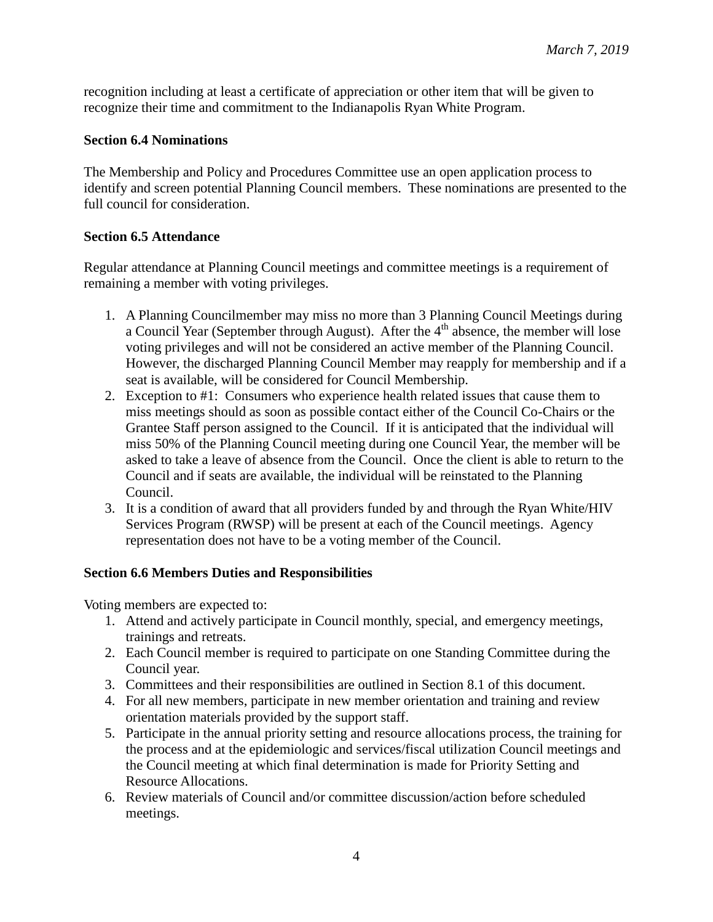recognition including at least a certificate of appreciation or other item that will be given to recognize their time and commitment to the Indianapolis Ryan White Program.

#### **Section 6.4 Nominations**

The Membership and Policy and Procedures Committee use an open application process to identify and screen potential Planning Council members. These nominations are presented to the full council for consideration.

#### **Section 6.5 Attendance**

Regular attendance at Planning Council meetings and committee meetings is a requirement of remaining a member with voting privileges.

- 1. A Planning Councilmember may miss no more than 3 Planning Council Meetings during a Council Year (September through August). After the  $4<sup>th</sup>$  absence, the member will lose voting privileges and will not be considered an active member of the Planning Council. However, the discharged Planning Council Member may reapply for membership and if a seat is available, will be considered for Council Membership.
- 2. Exception to #1: Consumers who experience health related issues that cause them to miss meetings should as soon as possible contact either of the Council Co-Chairs or the Grantee Staff person assigned to the Council. If it is anticipated that the individual will miss 50% of the Planning Council meeting during one Council Year, the member will be asked to take a leave of absence from the Council. Once the client is able to return to the Council and if seats are available, the individual will be reinstated to the Planning Council.
- 3. It is a condition of award that all providers funded by and through the Ryan White/HIV Services Program (RWSP) will be present at each of the Council meetings. Agency representation does not have to be a voting member of the Council.

### **Section 6.6 Members Duties and Responsibilities**

Voting members are expected to:

- 1. Attend and actively participate in Council monthly, special, and emergency meetings, trainings and retreats.
- 2. Each Council member is required to participate on one Standing Committee during the Council year.
- 3. Committees and their responsibilities are outlined in Section 8.1 of this document.
- 4. For all new members, participate in new member orientation and training and review orientation materials provided by the support staff.
- 5. Participate in the annual priority setting and resource allocations process, the training for the process and at the epidemiologic and services/fiscal utilization Council meetings and the Council meeting at which final determination is made for Priority Setting and Resource Allocations.
- 6. Review materials of Council and/or committee discussion/action before scheduled meetings.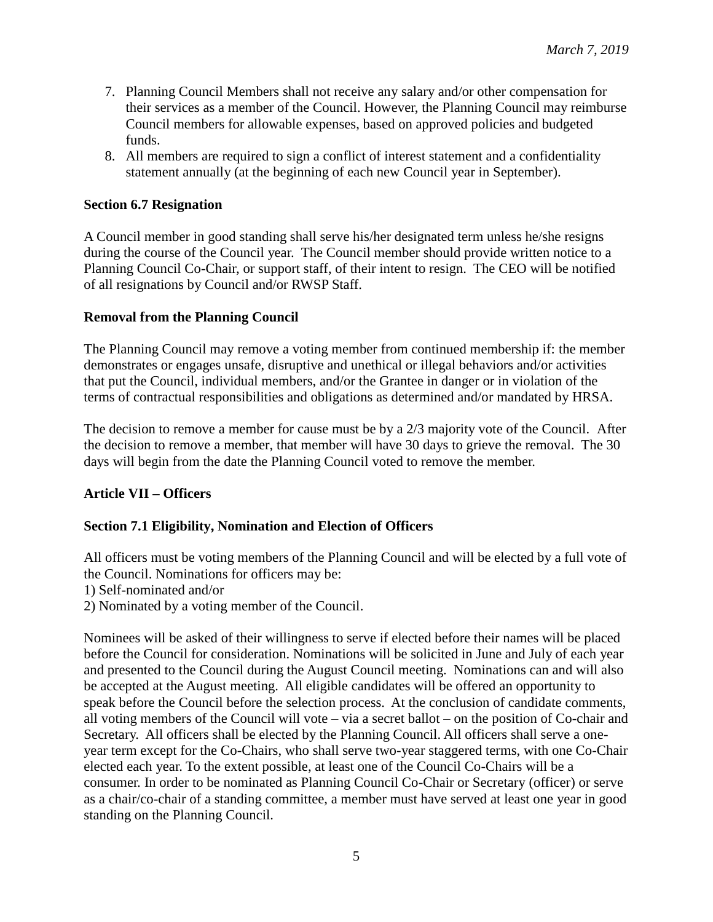- 7. Planning Council Members shall not receive any salary and/or other compensation for their services as a member of the Council. However, the Planning Council may reimburse Council members for allowable expenses, based on approved policies and budgeted funds.
- 8. All members are required to sign a conflict of interest statement and a confidentiality statement annually (at the beginning of each new Council year in September).

### **Section 6.7 Resignation**

A Council member in good standing shall serve his/her designated term unless he/she resigns during the course of the Council year. The Council member should provide written notice to a Planning Council Co-Chair, or support staff, of their intent to resign. The CEO will be notified of all resignations by Council and/or RWSP Staff.

#### **Removal from the Planning Council**

The Planning Council may remove a voting member from continued membership if: the member demonstrates or engages unsafe, disruptive and unethical or illegal behaviors and/or activities that put the Council, individual members, and/or the Grantee in danger or in violation of the terms of contractual responsibilities and obligations as determined and/or mandated by HRSA.

The decision to remove a member for cause must be by a 2/3 majority vote of the Council. After the decision to remove a member, that member will have 30 days to grieve the removal. The 30 days will begin from the date the Planning Council voted to remove the member.

### **Article VII – Officers**

### **Section 7.1 Eligibility, Nomination and Election of Officers**

All officers must be voting members of the Planning Council and will be elected by a full vote of the Council. Nominations for officers may be:

1) Self-nominated and/or

2) Nominated by a voting member of the Council.

Nominees will be asked of their willingness to serve if elected before their names will be placed before the Council for consideration. Nominations will be solicited in June and July of each year and presented to the Council during the August Council meeting. Nominations can and will also be accepted at the August meeting. All eligible candidates will be offered an opportunity to speak before the Council before the selection process. At the conclusion of candidate comments, all voting members of the Council will vote – via a secret ballot – on the position of Co-chair and Secretary. All officers shall be elected by the Planning Council. All officers shall serve a oneyear term except for the Co-Chairs, who shall serve two-year staggered terms, with one Co-Chair elected each year. To the extent possible, at least one of the Council Co-Chairs will be a consumer. In order to be nominated as Planning Council Co-Chair or Secretary (officer) or serve as a chair/co-chair of a standing committee, a member must have served at least one year in good standing on the Planning Council.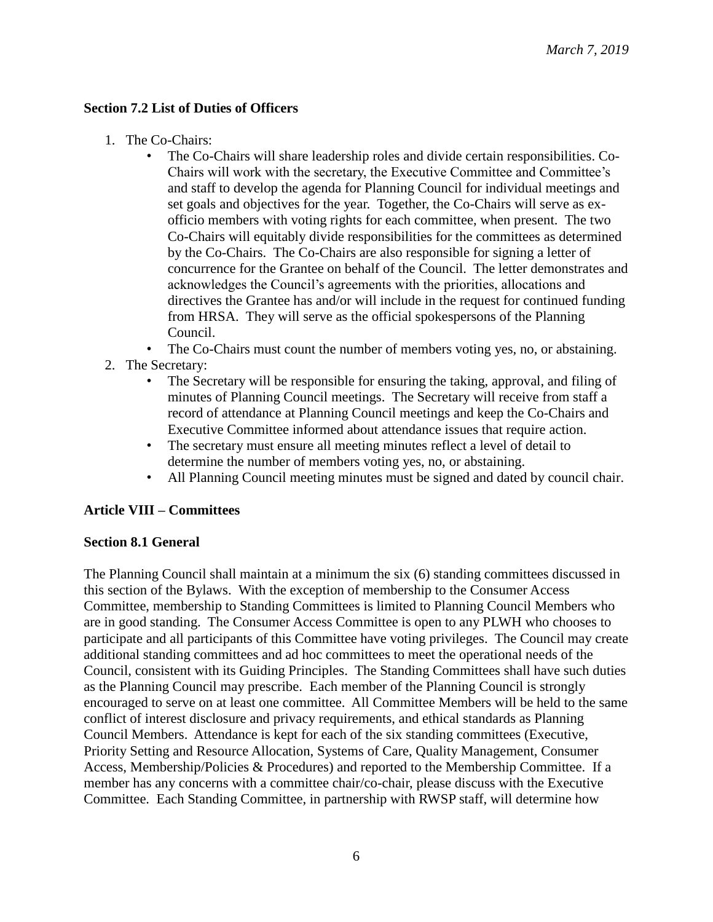### **Section 7.2 List of Duties of Officers**

- 1. The Co-Chairs:
	- The Co-Chairs will share leadership roles and divide certain responsibilities. Co-Chairs will work with the secretary, the Executive Committee and Committee's and staff to develop the agenda for Planning Council for individual meetings and set goals and objectives for the year. Together, the Co-Chairs will serve as exofficio members with voting rights for each committee, when present. The two Co-Chairs will equitably divide responsibilities for the committees as determined by the Co-Chairs. The Co-Chairs are also responsible for signing a letter of concurrence for the Grantee on behalf of the Council. The letter demonstrates and acknowledges the Council's agreements with the priorities, allocations and directives the Grantee has and/or will include in the request for continued funding from HRSA. They will serve as the official spokespersons of the Planning Council.

The Co-Chairs must count the number of members voting yes, no, or abstaining.

- 2. The Secretary:
	- The Secretary will be responsible for ensuring the taking, approval, and filing of minutes of Planning Council meetings. The Secretary will receive from staff a record of attendance at Planning Council meetings and keep the Co-Chairs and Executive Committee informed about attendance issues that require action.
	- The secretary must ensure all meeting minutes reflect a level of detail to determine the number of members voting yes, no, or abstaining.
	- All Planning Council meeting minutes must be signed and dated by council chair.

### **Article VIII – Committees**

### **Section 8.1 General**

The Planning Council shall maintain at a minimum the six (6) standing committees discussed in this section of the Bylaws. With the exception of membership to the Consumer Access Committee, membership to Standing Committees is limited to Planning Council Members who are in good standing. The Consumer Access Committee is open to any PLWH who chooses to participate and all participants of this Committee have voting privileges. The Council may create additional standing committees and ad hoc committees to meet the operational needs of the Council, consistent with its Guiding Principles. The Standing Committees shall have such duties as the Planning Council may prescribe. Each member of the Planning Council is strongly encouraged to serve on at least one committee. All Committee Members will be held to the same conflict of interest disclosure and privacy requirements, and ethical standards as Planning Council Members. Attendance is kept for each of the six standing committees (Executive, Priority Setting and Resource Allocation, Systems of Care, Quality Management, Consumer Access, Membership/Policies & Procedures) and reported to the Membership Committee. If a member has any concerns with a committee chair/co-chair, please discuss with the Executive Committee. Each Standing Committee, in partnership with RWSP staff, will determine how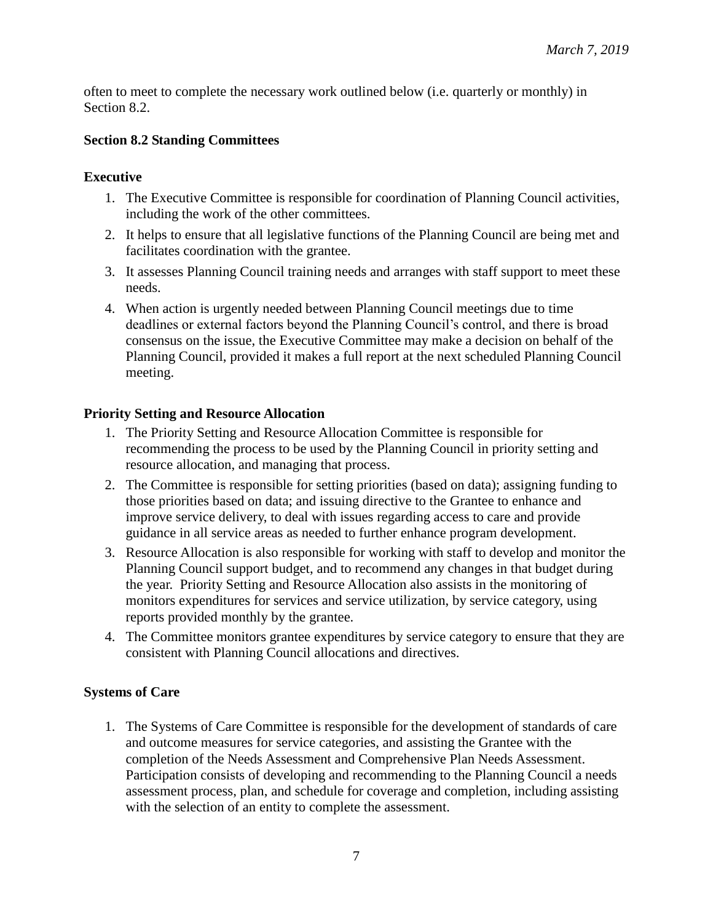often to meet to complete the necessary work outlined below (i.e. quarterly or monthly) in Section 8.2.

## **Section 8.2 Standing Committees**

## **Executive**

- 1. The Executive Committee is responsible for coordination of Planning Council activities, including the work of the other committees.
- 2. It helps to ensure that all legislative functions of the Planning Council are being met and facilitates coordination with the grantee.
- 3. It assesses Planning Council training needs and arranges with staff support to meet these needs.
- 4. When action is urgently needed between Planning Council meetings due to time deadlines or external factors beyond the Planning Council's control, and there is broad consensus on the issue, the Executive Committee may make a decision on behalf of the Planning Council, provided it makes a full report at the next scheduled Planning Council meeting.

### **Priority Setting and Resource Allocation**

- 1. The Priority Setting and Resource Allocation Committee is responsible for recommending the process to be used by the Planning Council in priority setting and resource allocation, and managing that process.
- 2. The Committee is responsible for setting priorities (based on data); assigning funding to those priorities based on data; and issuing directive to the Grantee to enhance and improve service delivery, to deal with issues regarding access to care and provide guidance in all service areas as needed to further enhance program development.
- 3. Resource Allocation is also responsible for working with staff to develop and monitor the Planning Council support budget, and to recommend any changes in that budget during the year. Priority Setting and Resource Allocation also assists in the monitoring of monitors expenditures for services and service utilization, by service category, using reports provided monthly by the grantee.
- 4. The Committee monitors grantee expenditures by service category to ensure that they are consistent with Planning Council allocations and directives.

# **Systems of Care**

1. The Systems of Care Committee is responsible for the development of standards of care and outcome measures for service categories, and assisting the Grantee with the completion of the Needs Assessment and Comprehensive Plan Needs Assessment. Participation consists of developing and recommending to the Planning Council a needs assessment process, plan, and schedule for coverage and completion, including assisting with the selection of an entity to complete the assessment.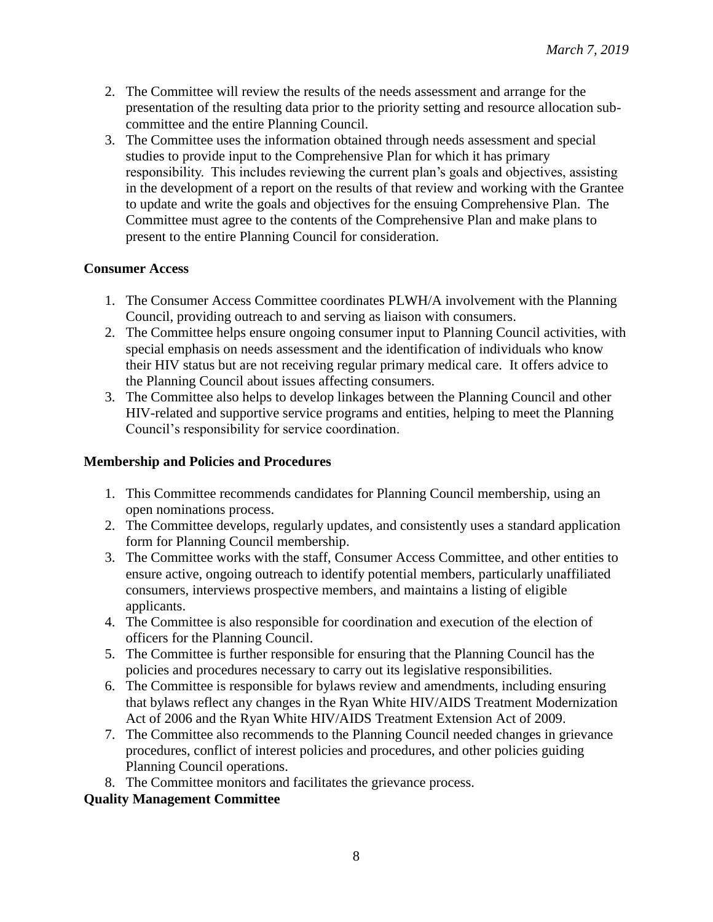- 2. The Committee will review the results of the needs assessment and arrange for the presentation of the resulting data prior to the priority setting and resource allocation subcommittee and the entire Planning Council.
- 3. The Committee uses the information obtained through needs assessment and special studies to provide input to the Comprehensive Plan for which it has primary responsibility. This includes reviewing the current plan's goals and objectives, assisting in the development of a report on the results of that review and working with the Grantee to update and write the goals and objectives for the ensuing Comprehensive Plan. The Committee must agree to the contents of the Comprehensive Plan and make plans to present to the entire Planning Council for consideration.

## **Consumer Access**

- 1. The Consumer Access Committee coordinates PLWH/A involvement with the Planning Council, providing outreach to and serving as liaison with consumers.
- 2. The Committee helps ensure ongoing consumer input to Planning Council activities, with special emphasis on needs assessment and the identification of individuals who know their HIV status but are not receiving regular primary medical care. It offers advice to the Planning Council about issues affecting consumers.
- 3. The Committee also helps to develop linkages between the Planning Council and other HIV-related and supportive service programs and entities, helping to meet the Planning Council's responsibility for service coordination.

# **Membership and Policies and Procedures**

- 1. This Committee recommends candidates for Planning Council membership, using an open nominations process.
- 2. The Committee develops, regularly updates, and consistently uses a standard application form for Planning Council membership.
- 3. The Committee works with the staff, Consumer Access Committee, and other entities to ensure active, ongoing outreach to identify potential members, particularly unaffiliated consumers, interviews prospective members, and maintains a listing of eligible applicants.
- 4. The Committee is also responsible for coordination and execution of the election of officers for the Planning Council.
- 5. The Committee is further responsible for ensuring that the Planning Council has the policies and procedures necessary to carry out its legislative responsibilities.
- 6. The Committee is responsible for bylaws review and amendments, including ensuring that bylaws reflect any changes in the Ryan White HIV/AIDS Treatment Modernization Act of 2006 and the Ryan White HIV/AIDS Treatment Extension Act of 2009.
- 7. The Committee also recommends to the Planning Council needed changes in grievance procedures, conflict of interest policies and procedures, and other policies guiding Planning Council operations.
- 8. The Committee monitors and facilitates the grievance process.

### **Quality Management Committee**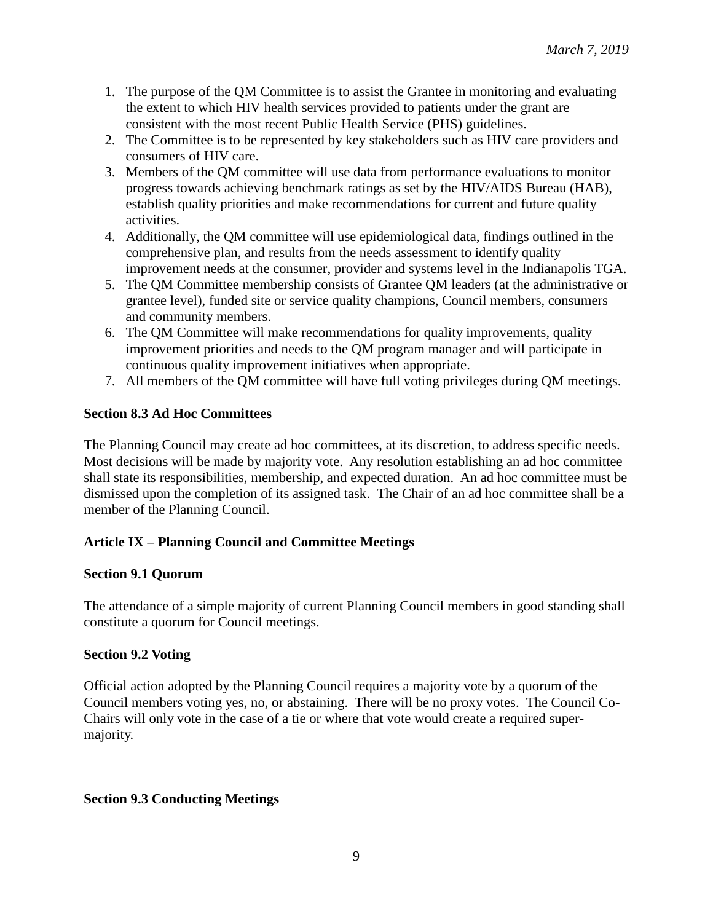- 1. The purpose of the QM Committee is to assist the Grantee in monitoring and evaluating the extent to which HIV health services provided to patients under the grant are consistent with the most recent Public Health Service (PHS) guidelines.
- 2. The Committee is to be represented by key stakeholders such as HIV care providers and consumers of HIV care.
- 3. Members of the QM committee will use data from performance evaluations to monitor progress towards achieving benchmark ratings as set by the HIV/AIDS Bureau (HAB), establish quality priorities and make recommendations for current and future quality activities.
- 4. Additionally, the QM committee will use epidemiological data, findings outlined in the comprehensive plan, and results from the needs assessment to identify quality improvement needs at the consumer, provider and systems level in the Indianapolis TGA.
- 5. The QM Committee membership consists of Grantee QM leaders (at the administrative or grantee level), funded site or service quality champions, Council members, consumers and community members.
- 6. The QM Committee will make recommendations for quality improvements, quality improvement priorities and needs to the QM program manager and will participate in continuous quality improvement initiatives when appropriate.
- 7. All members of the QM committee will have full voting privileges during QM meetings.

# **Section 8.3 Ad Hoc Committees**

The Planning Council may create ad hoc committees, at its discretion, to address specific needs. Most decisions will be made by majority vote. Any resolution establishing an ad hoc committee shall state its responsibilities, membership, and expected duration. An ad hoc committee must be dismissed upon the completion of its assigned task. The Chair of an ad hoc committee shall be a member of the Planning Council.

# **Article IX – Planning Council and Committee Meetings**

# **Section 9.1 Quorum**

The attendance of a simple majority of current Planning Council members in good standing shall constitute a quorum for Council meetings.

# **Section 9.2 Voting**

Official action adopted by the Planning Council requires a majority vote by a quorum of the Council members voting yes, no, or abstaining. There will be no proxy votes. The Council Co-Chairs will only vote in the case of a tie or where that vote would create a required supermajority.

# **Section 9.3 Conducting Meetings**